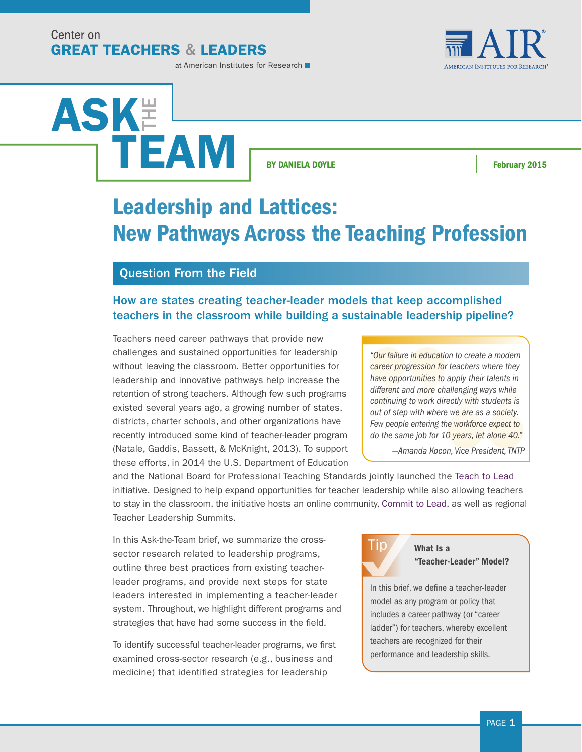Center on **GREAT TEACHERS & LEADERS**  **AMERICAN INSTITUTES FOR RESEARCH** 

#### at American Institutes for Research

ASK**E** TEAM

**BY DANIELA DOYLE Example 2015** 

# Leadership and Lattices: New Pathways Across the Teaching Profession

#### Question From the Field

#### How are states creating teacher-leader models that keep accomplished teachers in the classroom while building a sustainable leadership pipeline?

Teachers need career pathways that provide new challenges and sustained opportunities for leadership without leaving the classroom. Better opportunities for leadership and innovative pathways help increase the retention of strong teachers. Although few such programs existed several years ago, a growing number of states, districts, charter schools, and other organizations have recently introduced some kind of teacher-leader program (Natale, Gaddis, Bassett, & McKnight, 2013). To support these efforts, in 2014 the U.S. Department of Education

*"Our failure in education to create a modern career progression for teachers where they have opportunities to apply their talents in different and more challenging ways while continuing to work directly with students is out of step with where we are as a society. Few people entering the workforce expect to do the same job for 10 years, let alone 40."*

*—Amanda Kocon, Vice President, TNTP*

and the National Board for Professional Teaching Standards jointly launched the [Teach to Lead](http://teachtolead.org/) initiative. Designed to help expand opportunities for teacher leadership while also allowing teachers to stay in the classroom, the initiative hosts an online community, [Commit to Lead,](http://teachtolead.ideascale.com/) as well as regional Teacher Leadership Summits.

In this Ask-the-Team brief, we summarize the crosssector research related to leadership programs, outline three best practices from existing teacherleader programs, and provide next steps for state leaders interested in implementing a teacher-leader system. Throughout, we highlight different programs and strategies that have had some success in the field.

To identify successful teacher-leader programs, we first examined cross-sector research (e.g., business and medicine) that identified strategies for leadership



#### What Is a "Teacher-Leader" Model?

In this brief, we define a teacher-leader model as any program or policy that includes a career pathway (or "career ladder") for teachers, whereby excellent teachers are recognized for their performance and leadership skills.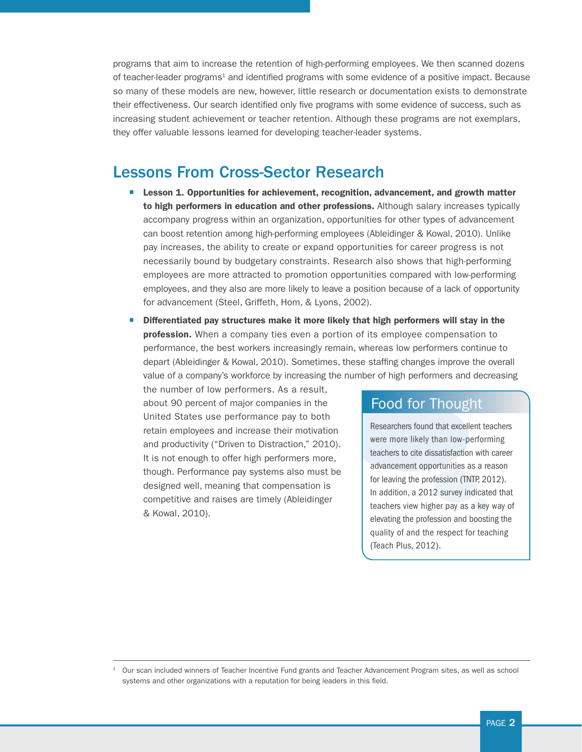programs that aim to increase the retention of high-performing employees. We then scanned dozens of teacher-leader programs<sup>1</sup> and identified programs with some evidence of a positive impact. Because so many of these models are new, however, little research or documentation exists to demonstrate their effectiveness. Our search identified only five programs with some evidence of success, such as increasing student achievement or teacher retention. Although these programs are not exemplars, they offer valuable lessons learned for developing teacher-leader systems.

## Lessons From Cross-Sector Research

- Lesson 1. Opportunities for achievement, recognition, advancement, and growth matter to high performers in education and other professions. Although salary increases typically accompany progress within an organization, opportunities for other types of advancement can boost retention among high-performing employees (Ableidinger & Kowal, 2010). Unlike pay increases, the ability to create or expand opportunities for career progress is not necessarily bound by budgetary constraints. Research also shows that high-performing employees are more attracted to promotion opportunities compared with low-performing employees, and they also are more likely to leave a position because of a lack of opportunity for advancement (Steel, Griffeth, Hom, & Lyons, 2002).
- Differentiated pay structures make it more likely that high performers will stay in the profession. When a company ties even a portion of its employee compensation to performance, the best workers increasingly remain, whereas low performers continue to depart (Ableidinger & Kowal, 2010). Sometimes, these staffing changes improve the overall value of a company's workforce by increasing the number of high performers and decreasing

the number of low performers. As a result, about 90 percent of major companies in the United States use performance pay to both retain employees and increase their motivation and productivity ("Driven to Distraction," 2010). It is not enough to offer high performers more, though. Performance pay systems also must be designed well, meaning that compensation is competitive and raises are timely (Ableidinger & Kowal, 2010).

#### Food for Thought

Researchers found that excellent teachers were more likely than low-performing teachers to cite dissatisfaction with career advancement opportunities as a reason for leaving the profession (TNTP, 2012). In addition, a 2012 survey indicated that teachers view higher pay as a key way of elevating the profession and boosting the quality of and the respect for teaching (Teach Plus, 2012).

<sup>1</sup> Our scan included winners of Teacher Incentive Fund grants and Teacher Advancement Program sites, as well as school systems and other organizations with a reputation for being leaders in this field.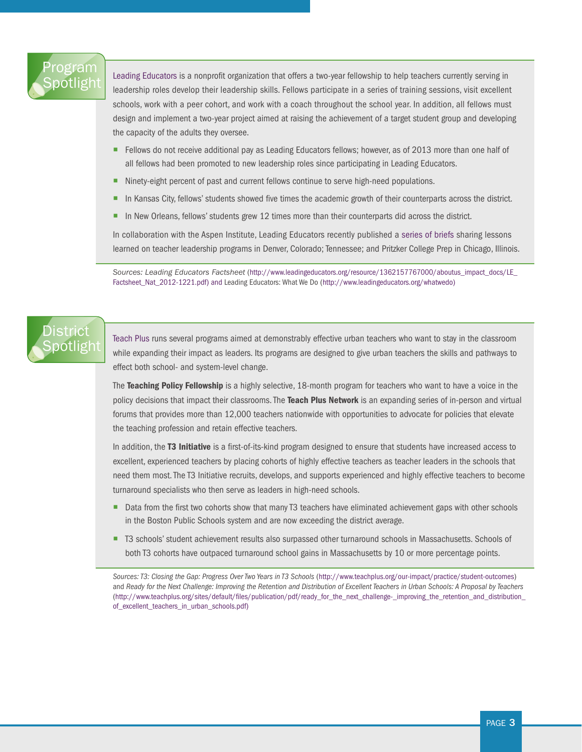# Program [Spotlight](http://ed.sc.gov/agency/lpa/documents/Proposed_SC_EdEval_Guidelines_06252012.pdf)

[Leading Educators](http://www.leadingeducators.org/whatwedo) is a nonprofit organization that offers a two-year fellowship to help teachers currently serving in leadership roles develop their leadership skills. Fellows participate in a series of training sessions, visit excellent schools, work with a peer cohort, and work with a coach throughout the school year. In addition, all fellows must design and implement a two-year project aimed at raising the achievement of a target student group and developing the capacity of the adults they oversee.

- Fellows do not receive additional pay as Leading Educators fellows; however, as of 2013 more than one half of all fellows had been promoted to new leadership roles since participating in Leading Educators.
- Ninety-eight percent of past and current fellows continue to serve high-need populations.
- In Kansas City, fellows' students showed five times the academic growth of their counterparts across the district.
- In New Orleans, fellows' students grew 12 times more than their counterparts did across the district.

In collaboration with the Aspen Institute, Leading Educators recently published a [series of briefs](http://www.leadingeducators.org/publications) sharing lessons learned on teacher leadership programs in Denver, Colorado; Tennessee; and Pritzker College Prep in Chicago, Illinois.

*Sources: Leading Educators Factsheet* ([http://www.leadingeducators.org/resource/1362157767000/aboutus\\_impact\\_docs/LE\\_](http://www.leadingeducators.org/resource/1362157767000/aboutus_impact_docs/LE_Factsheet_Nat_2012-1221.pdf) [Factsheet\\_Nat\\_2012-1221.pdf](http://www.leadingeducators.org/resource/1362157767000/aboutus_impact_docs/LE_Factsheet_Nat_2012-1221.pdf)) and Leading Educators: What We Do ([http://www.leadingeducators.org/whatwedo\)](http://www.leadingeducators.org/whatwedo)

# **District** [Spotlight](http://ed.sc.gov/agency/lpa/documents/Proposed_SC_EdEval_Guidelines_06252012.pdf)

[Teach Plus](http://www.teachplus.org) runs several programs aimed at demonstrably effective urban teachers who want to stay in the classroom while expanding their impact as leaders. Its programs are designed to give urban teachers the skills and pathways to effect both school- and system-level change.

The Teaching Policy Fellowship is a highly selective, 18-month program for teachers who want to have a voice in the policy decisions that impact their classrooms. The Teach Plus Network is an expanding series of in-person and virtual forums that provides more than 12,000 teachers nationwide with opportunities to advocate for policies that elevate the teaching profession and retain effective teachers.

In addition, the T3 Initiative is a first-of-its-kind program designed to ensure that students have increased access to excellent, experienced teachers by placing cohorts of highly effective teachers as teacher leaders in the schools that need them most. The T3 Initiative recruits, develops, and supports experienced and highly effective teachers to become turnaround specialists who then serve as leaders in high-need schools.

- Data from the first two cohorts show that many T3 teachers have eliminated achievement gaps with other schools in the Boston Public Schools system and are now exceeding the district average.
- T3 schools' student achievement results also surpassed other turnaround schools in Massachusetts. Schools of both T3 cohorts have outpaced turnaround school gains in Massachusetts by 10 or more percentage points.

*Sources: T3: Closing the Gap: Progress Over Two Years in T3 Schools* [\(http://www.teachplus.org/our-impact/practice/student-outcomes](http://www.teachplus.org/our-impact/practice/student-outcomes)) and *Ready for the Next Challenge: Improving the Retention and Distribution of Excellent Teachers in Urban Schools: A Proposal by Teachers* [\(http://www.teachplus.org/sites/default/files/publication/pdf/ready\\_for\\_the\\_next\\_challenge-\\_improving\\_the\\_retention\\_and\\_distribution\\_](http://www.teachplus.org/sites/default/files/publication/pdf/ready_for_the_next_challenge-_improving_the_retention_and_distribution_of_excellent_teachers_in_urban_schools.pdf) [of\\_excellent\\_teachers\\_in\\_urban\\_schools.pdf](http://www.teachplus.org/sites/default/files/publication/pdf/ready_for_the_next_challenge-_improving_the_retention_and_distribution_of_excellent_teachers_in_urban_schools.pdf))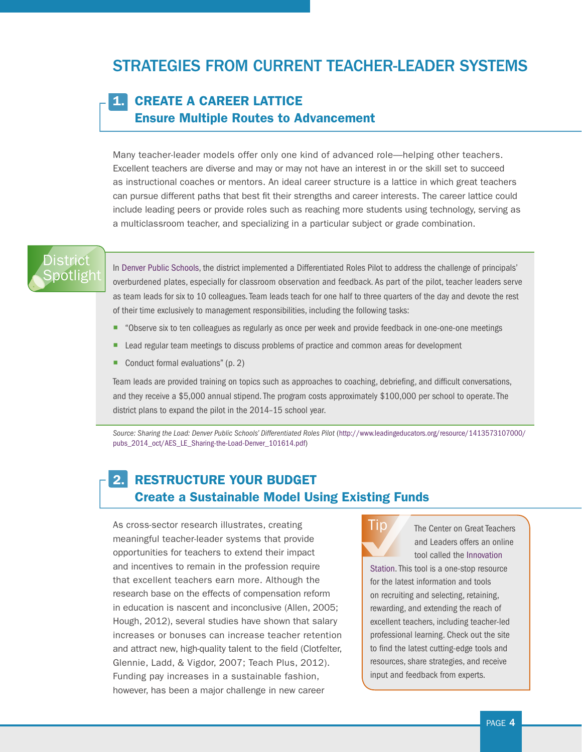# STRATEGIES FROM CURRENT TEACHER-LEADER SYSTEMS

#### 1. CREATE A CAREER LATTICE Ensure Multiple Routes to Advancement

Many teacher-leader models offer only one kind of advanced role—helping other teachers. Excellent teachers are diverse and may or may not have an interest in or the skill set to succeed as instructional coaches or mentors. An ideal career structure is a lattice in which great teachers can pursue different paths that best fit their strengths and career interests. The career lattice could include leading peers or provide roles such as reaching more students using technology, serving as a multiclassroom teacher, and specializing in a particular subject or grade combination.

## **District** ootlight

In [Denver Public Schools](http://www.leadingeducators.org/resource/1413573107000/pubs_2014_oct/AES_LE_Sharing-the-Load-Denver_101614.pdf), the district implemented a Differentiated Roles Pilot to address the challenge of principals' overburdened plates, especially for classroom observation and feedback. As part of the pilot, teacher leaders serve as team leads for six to 10 colleagues. Team leads teach for one half to three quarters of the day and devote the rest of their time exclusively to management responsibilities, including the following tasks:

- ¡ "Observe six to ten colleagues as regularly as once per week and provide feedback in one-one-one meetings
- Lead regular team meetings to discuss problems of practice and common areas for development
- Conduct formal evaluations" (p. 2)

Team leads are provided training on topics such as approaches to coaching, debriefing, and difficult conversations, and they receive a \$5,000 annual stipend. The program costs approximately \$100,000 per school to operate. The district plans to expand the pilot in the 2014–15 school year.

*Source: Sharing the Load: Denver Public Schools' Differentiated Roles Pilot* ([http://www.leadingeducators.org/resource/1413573107000/](http://www.leadingeducators.org/resource/1413573107000/pubs_2014_oct/AES_LE_Sharing-the-Load-Denver_101614.pdf) [pubs\\_2014\\_oct/AES\\_LE\\_Sharing-the-Load-Denver\\_101614.pdf](http://www.leadingeducators.org/resource/1413573107000/pubs_2014_oct/AES_LE_Sharing-the-Load-Denver_101614.pdf))

### 2. RESTRUCTURE YOUR BUDGET Create a Sustainable Model Using Existing Funds

As cross-sector research illustrates, creating meaningful teacher-leader systems that provide opportunities for teachers to extend their impact and incentives to remain in the profession require that excellent teachers earn more. Although the research base on the effects of compensation reform in education is nascent and inconclusive (Allen, 2005; Hough, 2012), several studies have shown that salary increases or bonuses can increase teacher retention and attract new, high-quality talent to the field (Clotfelter, Glennie, Ladd, & Vigdor, 2007; Teach Plus, 2012). Funding pay increases in a sustainable fashion, however, has been a major challenge in new career



The Center on Great Teachers and Leaders offers an online tool called the [Innovation](http://www.gtlcenter.org/learning-hub/innovation-station) 

[Station.](http://www.gtlcenter.org/learning-hub/innovation-station) This tool is a one-stop resource for the latest information and tools on recruiting and selecting, retaining, rewarding, and extending the reach of excellent teachers, including teacher-led professional learning. Check out the site to find the latest cutting-edge tools and resources, share strategies, and receive input and feedback from experts.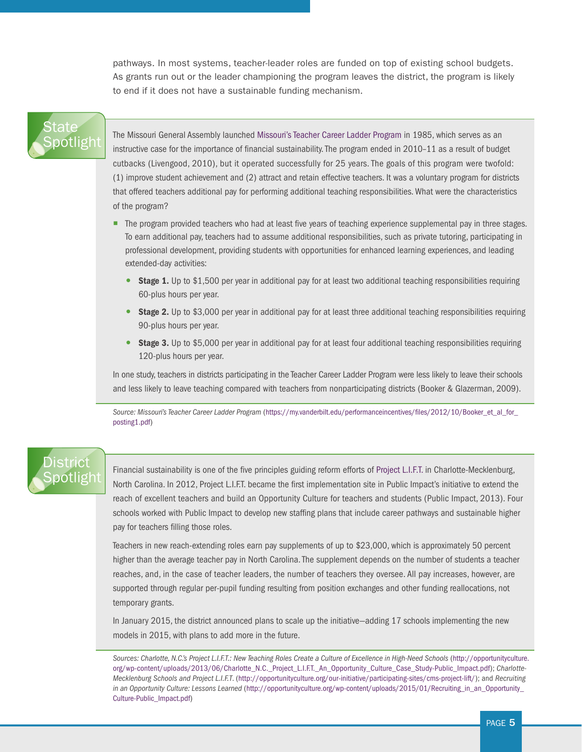pathways. In most systems, teacher-leader roles are funded on top of existing school budgets. As grants run out or the leader championing the program leaves the district, the program is likely to end if it does not have a sustainable funding mechanism.

## State<sup>®</sup> [Spotlight](http://ed.sc.gov/agency/lpa/documents/Proposed_SC_EdEval_Guidelines_06252012.pdf)

The Missouri General Assembly launched [Missouri's Teacher Career Ladder Program](https://my.vanderbilt.edu/performanceincentives/files/2012/10/Booker_et_al_for_posting1.pdf) in 1985, which serves as an instructive case for the importance of financial sustainability. The program ended in 2010–11 as a result of budget cutbacks (Livengood, 2010), but it operated successfully for 25 years. The goals of this program were twofold: (1) improve student achievement and (2) attract and retain effective teachers. It was a voluntary program for districts that offered teachers additional pay for performing additional teaching responsibilities. What were the characteristics of the program?

- The program provided teachers who had at least five years of teaching experience supplemental pay in three stages. To earn additional pay, teachers had to assume additional responsibilities, such as private tutoring, participating in professional development, providing students with opportunities for enhanced learning experiences, and leading extended-day activities:
	- **Stage 1.** Up to \$1,500 per year in additional pay for at least two additional teaching responsibilities requiring 60-plus hours per year.
	- Stage 2. Up to \$3,000 per year in additional pay for at least three additional teaching responsibilities requiring 90-plus hours per year.
	- Stage 3. Up to \$5,000 per year in additional pay for at least four additional teaching responsibilities requiring 120-plus hours per year.

In one study, teachers in districts participating in the Teacher Career Ladder Program were less likely to leave their schools and less likely to leave teaching compared with teachers from nonparticipating districts (Booker & Glazerman, 2009).

*Source: Missouri's Teacher Career Ladder Program* ([https://my.vanderbilt.edu/performanceincentives/files/2012/10/Booker\\_et\\_al\\_for\\_](https://my.vanderbilt.edu/performanceincentives/files/2012/10/Booker_et_al_for_posting1.pdf) [posting1.pdf](https://my.vanderbilt.edu/performanceincentives/files/2012/10/Booker_et_al_for_posting1.pdf))

# strict ootligh

Financial sustainability is one of the five principles guiding reform efforts of [Project L.I.F.T.](http://opportunityculture.org/wp-content/uploads/2013/06/Charlotte_N.C._Project_L.I.F.T._An_Opportunity_Culture_Case_Study-Public_Impact.pdf) in Charlotte-Mecklenburg, North Carolina. In 2012, Project L.I.F.T. became the first implementation site in Public Impact's initiative to extend the reach of excellent teachers and build an Opportunity Culture for teachers and students (Public Impact, 2013). Four schools worked with Public Impact to develop new staffing plans that include career pathways and sustainable higher pay for teachers filling those roles.

Teachers in new reach-extending roles earn pay supplements of up to \$23,000, which is approximately 50 percent higher than the average teacher pay in North Carolina. The supplement depends on the number of students a teacher reaches, and, in the case of teacher leaders, the number of teachers they oversee. All pay increases, however, are supported through regular per-pupil funding resulting from position exchanges and other funding reallocations, not temporary grants.

In January 2015, the district announced plans to scale up the initiative—adding 17 schools implementing the new models in 2015, with plans to add more in the future.

*Sources: Charlotte, N.C.'s Project L.I.F.T.: New Teaching Roles Create a Culture of Excellence in High-Need Schools* ([http://opportunityculture.](http://opportunityculture.org/wp-content/uploads/2013/06/Charlotte_N.C._Project_L.I.F.T._An_Opportunity_Culture_Case_Study-Public_Impact.pdf) [org/wp-content/uploads/2013/06/Charlotte\\_N.C.\\_Project\\_L.I.F.T.\\_An\\_Opportunity\\_Culture\\_Case\\_Study-Public\\_Impact.pdf\)](http://opportunityculture.org/wp-content/uploads/2013/06/Charlotte_N.C._Project_L.I.F.T._An_Opportunity_Culture_Case_Study-Public_Impact.pdf); *Charlotte-Mecklenburg Schools and Project L.I.F.T*. (<http://opportunityculture.org/our-initiative/participating-sites/cms-project-lift/>); and *Recruiting in an Opportunity Culture: Lessons Learned* [\(http://opportunityculture.org/wp-content/uploads/2015/01/Recruiting\\_in\\_an\\_Opportunity\\_](http://opportunityculture.org/wp-content/uploads/2015/01/Recruiting_in_an_Opportunity_Culture-Public_Impact.pdf) [Culture-Public\\_Impact.pdf](http://opportunityculture.org/wp-content/uploads/2015/01/Recruiting_in_an_Opportunity_Culture-Public_Impact.pdf))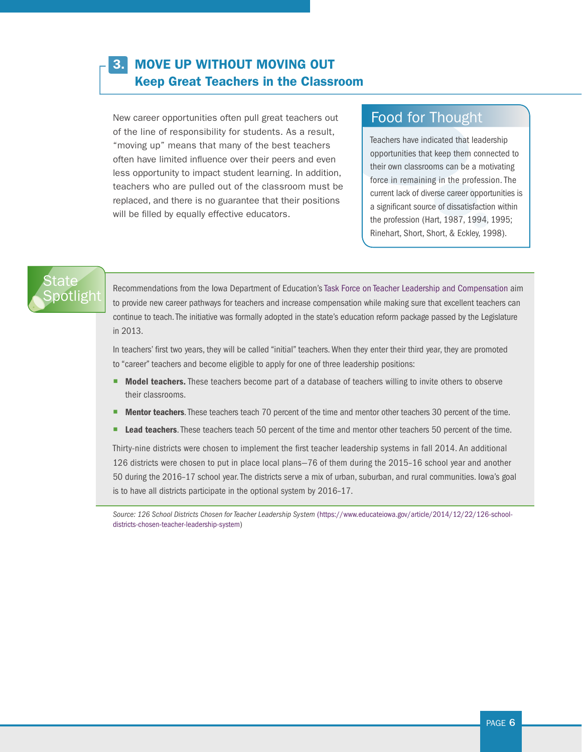### 3. MOVE UP WITHOUT MOVING OUT Keep Great Teachers in the Classroom

New career opportunities often pull great teachers out of the line of responsibility for students. As a result, "moving up" means that many of the best teachers often have limited influence over their peers and even less opportunity to impact student learning. In addition, teachers who are pulled out of the classroom must be replaced, and there is no guarantee that their positions will be filled by equally effective educators.

# Food for Thought

Teachers have indicated that leadership opportunities that keep them connected to their own classrooms can be a motivating force in remaining in the profession. The current lack of diverse career opportunities is a significant source of dissatisfaction within the profession (Hart, 1987, 1994, 1995; Rinehart, Short, Short, & Eckley, 1998).

# State<sup>®</sup> ootlight

Recommendations from the Iowa Department of Education's [Task Force on Teacher Leadership and Compensation](https://www.educateiowa.gov/article/2014/12/22/126-school-districts-chosen-teacher-leadership-system) aim to provide new career pathways for teachers and increase compensation while making sure that excellent teachers can continue to teach. The initiative was formally adopted in the state's education reform package passed by the Legislature in 2013.

In teachers' first two years, they will be called "initial" teachers. When they enter their third year, they are promoted to "career" teachers and become eligible to apply for one of three leadership positions:

- Model teachers. These teachers become part of a database of teachers willing to invite others to observe their classrooms.
- **Mentor teachers**. These teachers teach 70 percent of the time and mentor other teachers 30 percent of the time.
- **Lead teachers.** These teachers teach 50 percent of the time and mentor other teachers 50 percent of the time.

Thirty-nine districts were chosen to implement the first teacher leadership systems in fall 2014. An additional 126 districts were chosen to put in place local plans—76 of them during the 2015–16 school year and another 50 during the 2016–17 school year. The districts serve a mix of urban, suburban, and rural communities. Iowa's goal is to have all districts participate in the optional system by 2016–17.

*Source: 126 School Districts Chosen for Teacher Leadership System* [\(https://www.educateiowa.gov/article/2014/12/22/126-school](https://www.educateiowa.gov/article/2014/12/22/126-school-districts-chosen-teacher-leadership-system)[districts-chosen-teacher-leadership-system](https://www.educateiowa.gov/article/2014/12/22/126-school-districts-chosen-teacher-leadership-system))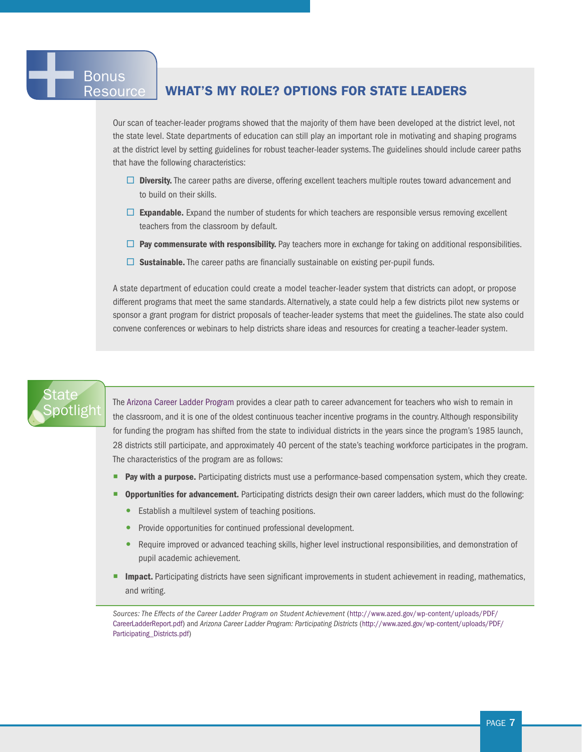# **Bonus**

#### Resource | WHAT'S MY ROLE? OPTIONS FOR STATE LEADERS

Our scan of teacher-leader programs showed that the majority of them have been developed at the district level, not the state level. State departments of education can still play an important role in motivating and shaping programs at the district level by setting guidelines for robust teacher-leader systems. The guidelines should include career paths that have the following characteristics:

- $\Box$  Diversity. The career paths are diverse, offering excellent teachers multiple routes toward advancement and to build on their skills.
- $\Box$  Expandable. Expand the number of students for which teachers are responsible versus removing excellent teachers from the classroom by default.
- $\Box$  Pay commensurate with responsibility. Pay teachers more in exchange for taking on additional responsibilities.
- $\square$  Sustainable. The career paths are financially sustainable on existing per-pupil funds.

A state department of education could create a model teacher-leader system that districts can adopt, or propose different programs that meet the same standards. Alternatively, a state could help a few districts pilot new systems or sponsor a grant program for district proposals of teacher-leader systems that meet the guidelines. The state also could convene conferences or webinars to help districts share ideas and resources for creating a teacher-leader system.

# State [Spotlight](http://ed.sc.gov/agency/lpa/documents/Proposed_SC_EdEval_Guidelines_06252012.pdf)

The [Arizona Career Ladder Program](http://www.azed.gov/wp-content/uploads/PDF/CareerLadderReport.pdf) provides a clear path to career advancement for teachers who wish to remain in the classroom, and it is one of the oldest continuous teacher incentive programs in the country. Although responsibility for funding the program has shifted from the state to individual districts in the years since the program's 1985 launch, 28 districts still participate, and approximately 40 percent of the state's teaching workforce participates in the program. The characteristics of the program are as follows:

- Pay with a purpose. Participating districts must use a performance-based compensation system, which they create.
- Opportunities for advancement. Participating districts design their own career ladders, which must do the following:
	- Establish a multilevel system of teaching positions.
	- Provide opportunities for continued professional development.
	- Require improved or advanced teaching skills, higher level instructional responsibilities, and demonstration of pupil academic achievement.
- **Impact.** Participating districts have seen significant improvements in student achievement in reading, mathematics, and writing.

*Sources: The Effects of the Career Ladder Program on Student Achievement* ([http://www.azed.gov/wp-content/uploads/PDF/](http://www.azed.gov/wp-content/uploads/PDF/CareerLadderReport.pdf) [CareerLadderReport.pdf](http://www.azed.gov/wp-content/uploads/PDF/CareerLadderReport.pdf)) and *Arizona Career Ladder Program: Participating Districts* [\(http://www.azed.gov/wp-content/uploads/PDF/](http://www.azed.gov/wp-content/uploads/PDF/Participating_Districts.pdf) [Participating\\_Districts.pdf\)](http://www.azed.gov/wp-content/uploads/PDF/Participating_Districts.pdf)